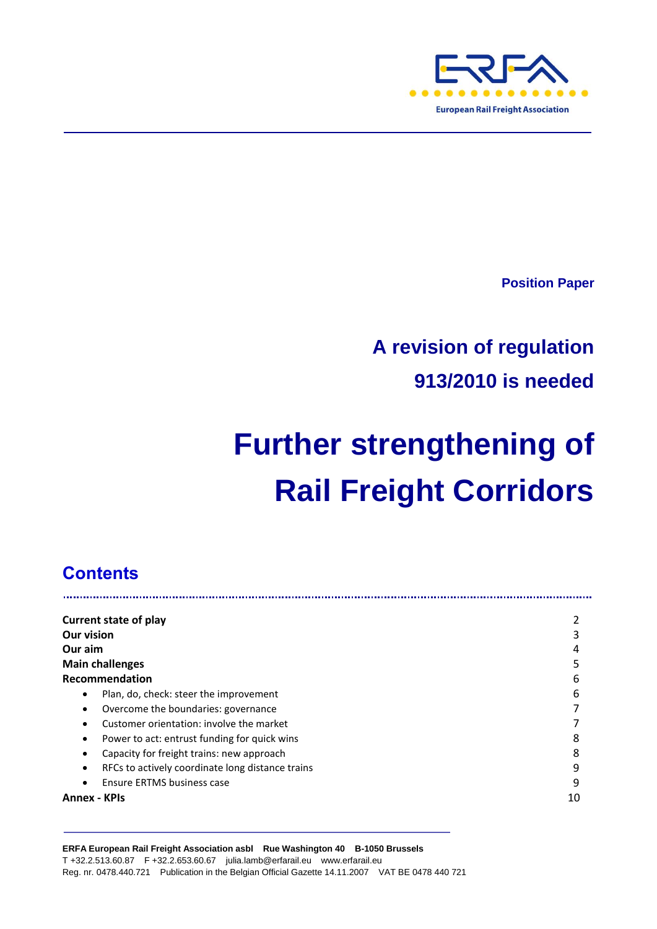

**Position Paper**

## **A revision of regulation 913/2010 is needed**

# **Further strengthening of Rail Freight Corridors**

## **Contents**

| <b>Current state of play</b>                          |    |
|-------------------------------------------------------|----|
| <b>Our vision</b>                                     | 3  |
| Our aim                                               | 4  |
| <b>Main challenges</b>                                | 5  |
| Recommendation                                        | 6  |
| Plan, do, check: steer the improvement<br>٠           | 6  |
| Overcome the boundaries: governance<br>٠              |    |
| Customer orientation: involve the market              |    |
| Power to act: entrust funding for quick wins<br>٠     | 8  |
| Capacity for freight trains: new approach<br>٠        | 8  |
| RFCs to actively coordinate long distance trains<br>٠ | 9  |
| Ensure ERTMS business case                            | 9  |
| <b>Annex - KPIs</b>                                   | 10 |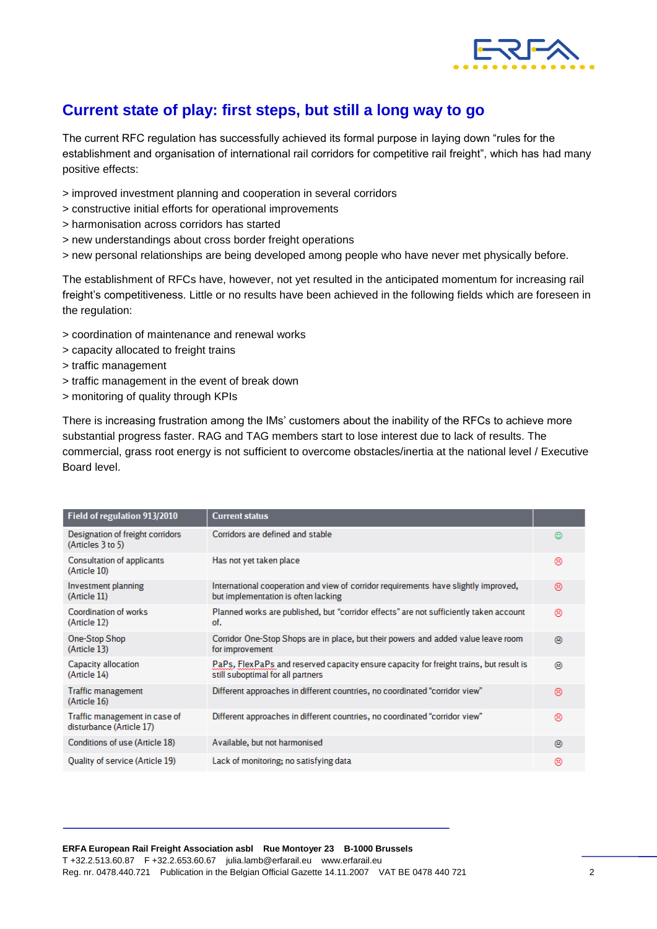

## **Current state of play: first steps, but still a long way to go**

The current RFC regulation has successfully achieved its formal purpose in laying down "rules for the establishment and organisation of international rail corridors for competitive rail freight", which has had many positive effects:

- > improved investment planning and cooperation in several corridors
- > constructive initial efforts for operational improvements
- > harmonisation across corridors has started
- > new understandings about cross border freight operations
- > new personal relationships are being developed among people who have never met physically before.

The establishment of RFCs have, however, not yet resulted in the anticipated momentum for increasing rail freight's competitiveness. Little or no results have been achieved in the following fields which are foreseen in the regulation:

- > coordination of maintenance and renewal works
- > capacity allocated to freight trains
- > traffic management
- > traffic management in the event of break down
- > monitoring of quality through KPIs

There is increasing frustration among the IMs' customers about the inability of the RFCs to achieve more substantial progress faster. RAG and TAG members start to lose interest due to lack of results. The commercial, grass root energy is not sufficient to overcome obstacles/inertia at the national level / Executive Board level.

| Field of regulation 913/2010                              | <b>Current status</b>                                                                                                       |   |
|-----------------------------------------------------------|-----------------------------------------------------------------------------------------------------------------------------|---|
| Designation of freight corridors<br>(Articles 3 to 5)     | Corridors are defined and stable                                                                                            | o |
| Consultation of applicants<br>(Article 10)                | Has not yet taken place                                                                                                     | ⊛ |
| Investment planning<br>(Article 11)                       | International cooperation and view of corridor requirements have slightly improved,<br>but implementation is often lacking  | ⊛ |
| Coordination of works<br>(Article 12)                     | Planned works are published, but "corridor effects" are not sufficiently taken account<br>of.                               | ⊛ |
| One-Stop Shop<br>(Article 13)                             | Corridor One-Stop Shops are in place, but their powers and added value leave room<br>for improvement                        | ⊕ |
| Capacity allocation<br>(Article 14)                       | PaPs, FlexPaPs and reserved capacity ensure capacity for freight trains, but result is<br>still suboptimal for all partners | ⊕ |
| Traffic management<br>(Article 16)                        | Different approaches in different countries, no coordinated "corridor view"                                                 | ⊛ |
| Traffic management in case of<br>disturbance (Article 17) | Different approaches in different countries, no coordinated "corridor view"                                                 | ⊛ |
| Conditions of use (Article 18)                            | Available, but not harmonised                                                                                               | ⊕ |
| Quality of service (Article 19)                           | Lack of monitoring; no satisfying data                                                                                      | ⊛ |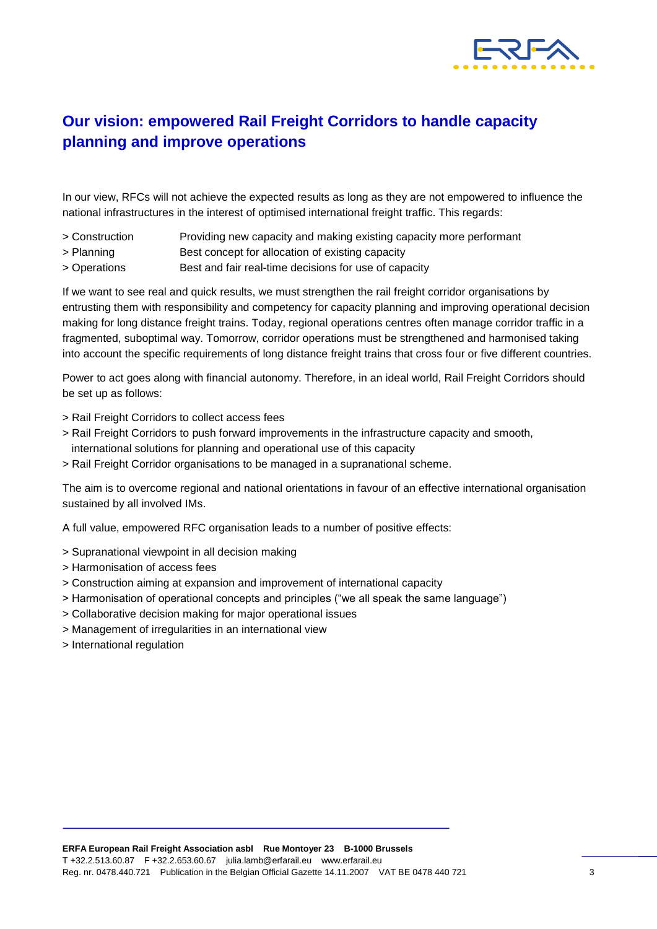

## **Our vision: empowered Rail Freight Corridors to handle capacity planning and improve operations**

In our view, RFCs will not achieve the expected results as long as they are not empowered to influence the national infrastructures in the interest of optimised international freight traffic. This regards:

- > Construction Providing new capacity and making existing capacity more performant
- > Planning Best concept for allocation of existing capacity
- > Operations Best and fair real-time decisions for use of capacity

If we want to see real and quick results, we must strengthen the rail freight corridor organisations by entrusting them with responsibility and competency for capacity planning and improving operational decision making for long distance freight trains. Today, regional operations centres often manage corridor traffic in a fragmented, suboptimal way. Tomorrow, corridor operations must be strengthened and harmonised taking into account the specific requirements of long distance freight trains that cross four or five different countries.

Power to act goes along with financial autonomy. Therefore, in an ideal world, Rail Freight Corridors should be set up as follows:

- > Rail Freight Corridors to collect access fees
- > Rail Freight Corridors to push forward improvements in the infrastructure capacity and smooth, international solutions for planning and operational use of this capacity
- > Rail Freight Corridor organisations to be managed in a supranational scheme.

The aim is to overcome regional and national orientations in favour of an effective international organisation sustained by all involved IMs.

A full value, empowered RFC organisation leads to a number of positive effects:

- > Supranational viewpoint in all decision making
- > Harmonisation of access fees
- > Construction aiming at expansion and improvement of international capacity
- > Harmonisation of operational concepts and principles ("we all speak the same language")
- > Collaborative decision making for major operational issues
- > Management of irregularities in an international view
- > International regulation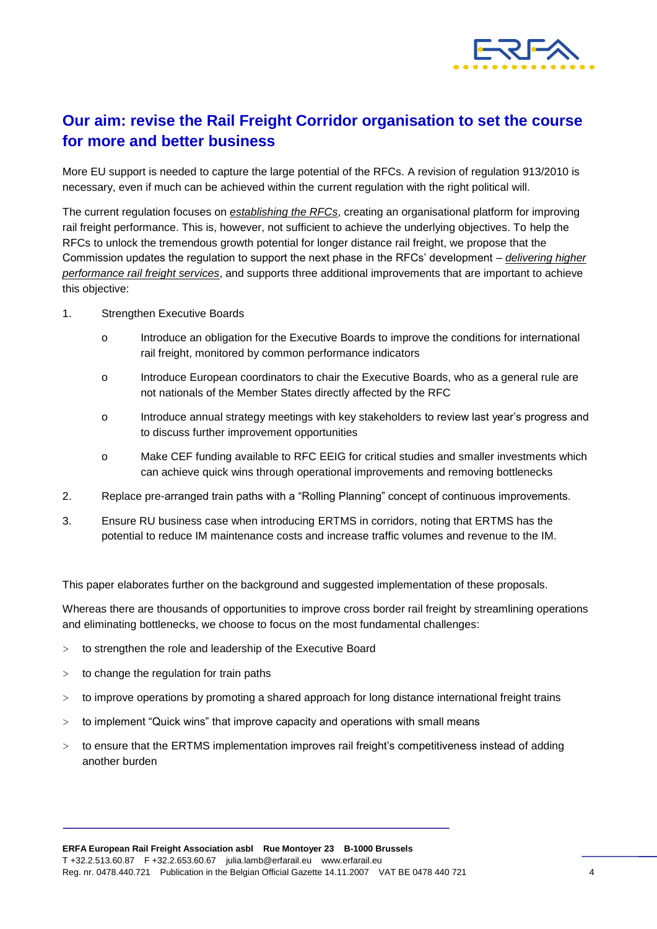

## **Our aim: revise the Rail Freight Corridor organisation to set the course for more and better business**

More EU support is needed to capture the large potential of the RFCs. A revision of regulation 913/2010 is necessary, even if much can be achieved within the current regulation with the right political will.

The current regulation focuses on *establishing the RFCs*, creating an organisational platform for improving rail freight performance. This is, however, not sufficient to achieve the underlying objectives. To help the RFCs to unlock the tremendous growth potential for longer distance rail freight, we propose that the Commission updates the regulation to support the next phase in the RFCs' development – *delivering higher performance rail freight services*, and supports three additional improvements that are important to achieve this objective:

- 1. Strengthen Executive Boards
	- o Introduce an obligation for the Executive Boards to improve the conditions for international rail freight, monitored by common performance indicators
	- o Introduce European coordinators to chair the Executive Boards, who as a general rule are not nationals of the Member States directly affected by the RFC
	- o Introduce annual strategy meetings with key stakeholders to review last year's progress and to discuss further improvement opportunities
	- o Make CEF funding available to RFC EEIG for critical studies and smaller investments which can achieve quick wins through operational improvements and removing bottlenecks
- 2. Replace pre-arranged train paths with a "Rolling Planning" concept of continuous improvements.
- 3. Ensure RU business case when introducing ERTMS in corridors, noting that ERTMS has the potential to reduce IM maintenance costs and increase traffic volumes and revenue to the IM.

This paper elaborates further on the background and suggested implementation of these proposals.

Whereas there are thousands of opportunities to improve cross border rail freight by streamlining operations and eliminating bottlenecks, we choose to focus on the most fundamental challenges:

- $>$  to strengthen the role and leadership of the Executive Board
- $>$  to change the regulation for train paths
- > to improve operations by promoting a shared approach for long distance international freight trains
- > to implement "Quick wins" that improve capacity and operations with small means
- > to ensure that the ERTMS implementation improves rail freight's competitiveness instead of adding another burden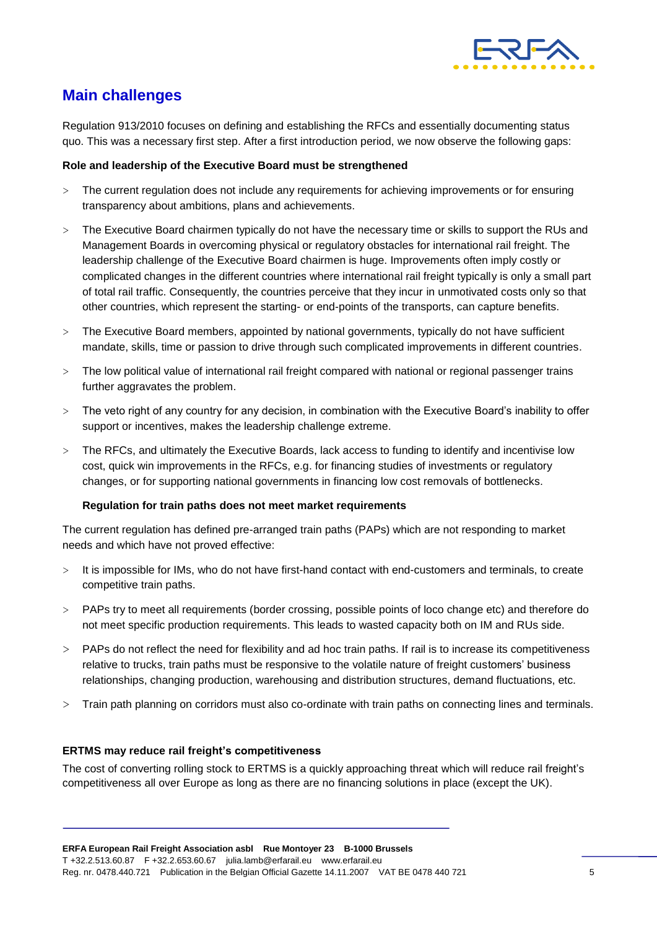

## **Main challenges**

Regulation 913/2010 focuses on defining and establishing the RFCs and essentially documenting status quo. This was a necessary first step. After a first introduction period, we now observe the following gaps:

#### **Role and leadership of the Executive Board must be strengthened**

- > The current regulation does not include any requirements for achieving improvements or for ensuring transparency about ambitions, plans and achievements.
- > The Executive Board chairmen typically do not have the necessary time or skills to support the RUs and Management Boards in overcoming physical or regulatory obstacles for international rail freight. The leadership challenge of the Executive Board chairmen is huge. Improvements often imply costly or complicated changes in the different countries where international rail freight typically is only a small part of total rail traffic. Consequently, the countries perceive that they incur in unmotivated costs only so that other countries, which represent the starting- or end-points of the transports, can capture benefits.
- > The Executive Board members, appointed by national governments, typically do not have sufficient mandate, skills, time or passion to drive through such complicated improvements in different countries.
- > The low political value of international rail freight compared with national or regional passenger trains further aggravates the problem.
- > The veto right of any country for any decision, in combination with the Executive Board's inability to offer support or incentives, makes the leadership challenge extreme.
- > The RFCs, and ultimately the Executive Boards, lack access to funding to identify and incentivise low cost, quick win improvements in the RFCs, e.g. for financing studies of investments or regulatory changes, or for supporting national governments in financing low cost removals of bottlenecks.

#### **Regulation for train paths does not meet market requirements**

The current regulation has defined pre-arranged train paths (PAPs) which are not responding to market needs and which have not proved effective:

- It is impossible for IMs, who do not have first-hand contact with end-customers and terminals, to create competitive train paths.
- > PAPs try to meet all requirements (border crossing, possible points of loco change etc) and therefore do not meet specific production requirements. This leads to wasted capacity both on IM and RUs side.
- > PAPs do not reflect the need for flexibility and ad hoc train paths. If rail is to increase its competitiveness relative to trucks, train paths must be responsive to the volatile nature of freight customers' business relationships, changing production, warehousing and distribution structures, demand fluctuations, etc.
- > Train path planning on corridors must also co-ordinate with train paths on connecting lines and terminals.

#### **ERTMS may reduce rail freight's competitiveness**

The cost of converting rolling stock to ERTMS is a quickly approaching threat which will reduce rail freight's competitiveness all over Europe as long as there are no financing solutions in place (except the UK).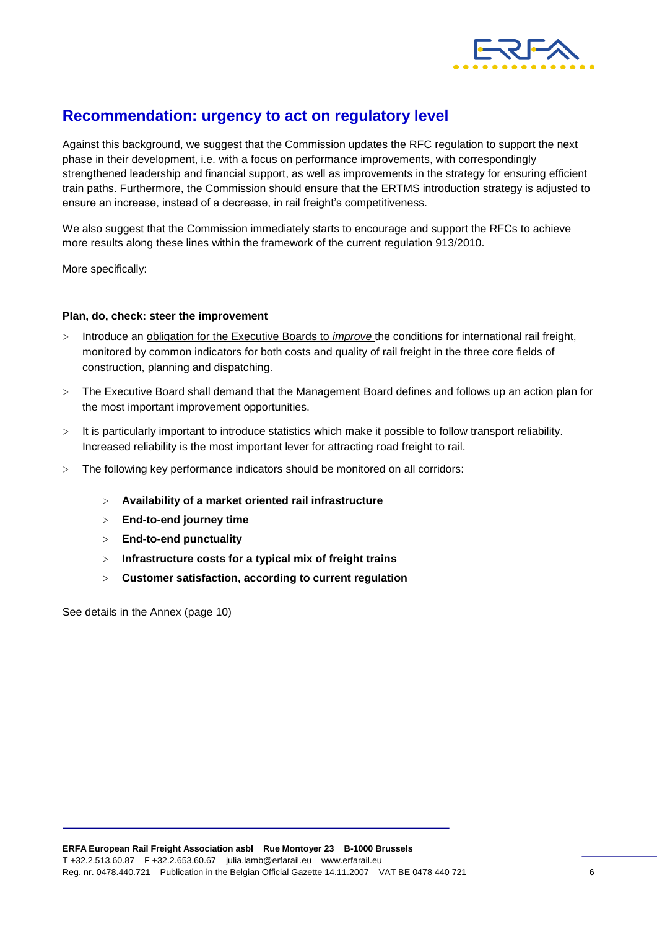

### **Recommendation: urgency to act on regulatory level**

Against this background, we suggest that the Commission updates the RFC regulation to support the next phase in their development, i.e. with a focus on performance improvements, with correspondingly strengthened leadership and financial support, as well as improvements in the strategy for ensuring efficient train paths. Furthermore, the Commission should ensure that the ERTMS introduction strategy is adjusted to ensure an increase, instead of a decrease, in rail freight's competitiveness.

We also suggest that the Commission immediately starts to encourage and support the RFCs to achieve more results along these lines within the framework of the current regulation 913/2010.

More specifically:

#### **Plan, do, check: steer the improvement**

- > Introduce an obligation for the Executive Boards to *improve* the conditions for international rail freight, monitored by common indicators for both costs and quality of rail freight in the three core fields of construction, planning and dispatching.
- > The Executive Board shall demand that the Management Board defines and follows up an action plan for the most important improvement opportunities.
- > It is particularly important to introduce statistics which make it possible to follow transport reliability. Increased reliability is the most important lever for attracting road freight to rail.
- > The following key performance indicators should be monitored on all corridors:
	- > **Availability of a market oriented rail infrastructure**
	- > **End-to-end journey time**
	- > **End-to-end punctuality**
	- > **Infrastructure costs for a typical mix of freight trains**
	- > **Customer satisfaction, according to current regulation**

See details in the Annex (page 10)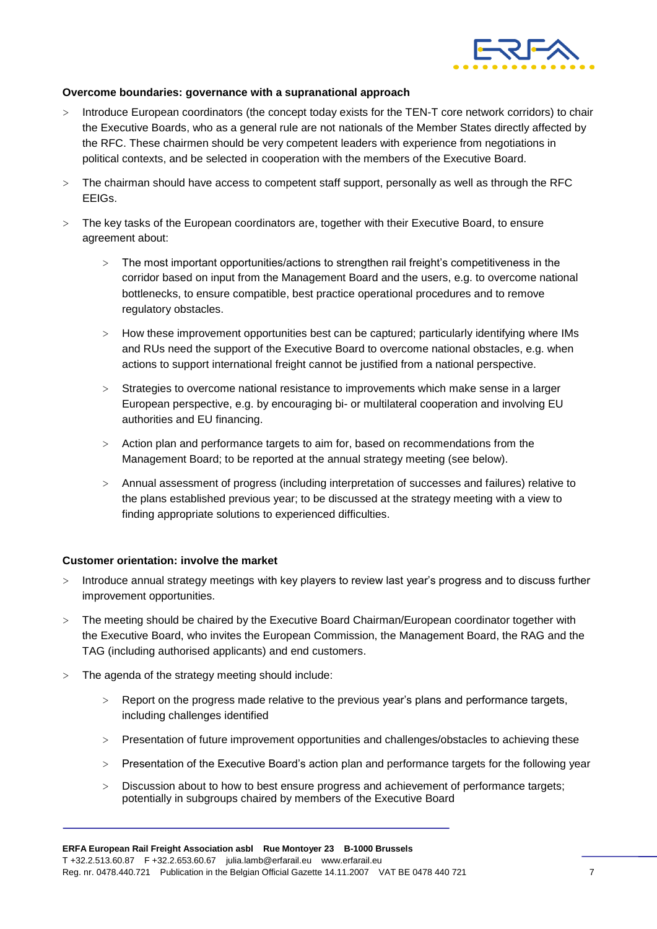

#### **Overcome boundaries: governance with a supranational approach**

- > Introduce European coordinators (the concept today exists for the TEN-T core network corridors) to chair the Executive Boards, who as a general rule are not nationals of the Member States directly affected by the RFC. These chairmen should be very competent leaders with experience from negotiations in political contexts, and be selected in cooperation with the members of the Executive Board.
- > The chairman should have access to competent staff support, personally as well as through the RFC EEIGs.
- > The key tasks of the European coordinators are, together with their Executive Board, to ensure agreement about:
	- > The most important opportunities/actions to strengthen rail freight's competitiveness in the corridor based on input from the Management Board and the users, e.g. to overcome national bottlenecks, to ensure compatible, best practice operational procedures and to remove regulatory obstacles.
	- > How these improvement opportunities best can be captured; particularly identifying where IMs and RUs need the support of the Executive Board to overcome national obstacles, e.g. when actions to support international freight cannot be justified from a national perspective.
	- > Strategies to overcome national resistance to improvements which make sense in a larger European perspective, e.g. by encouraging bi- or multilateral cooperation and involving EU authorities and EU financing.
	- > Action plan and performance targets to aim for, based on recommendations from the Management Board; to be reported at the annual strategy meeting (see below).
	- > Annual assessment of progress (including interpretation of successes and failures) relative to the plans established previous year; to be discussed at the strategy meeting with a view to finding appropriate solutions to experienced difficulties.

#### **Customer orientation: involve the market**

- > Introduce annual strategy meetings with key players to review last year's progress and to discuss further improvement opportunities.
- > The meeting should be chaired by the Executive Board Chairman/European coordinator together with the Executive Board, who invites the European Commission, the Management Board, the RAG and the TAG (including authorised applicants) and end customers.
- > The agenda of the strategy meeting should include:
	- > Report on the progress made relative to the previous year's plans and performance targets, including challenges identified
	- > Presentation of future improvement opportunities and challenges/obstacles to achieving these
	- > Presentation of the Executive Board's action plan and performance targets for the following year
	- > Discussion about to how to best ensure progress and achievement of performance targets; potentially in subgroups chaired by members of the Executive Board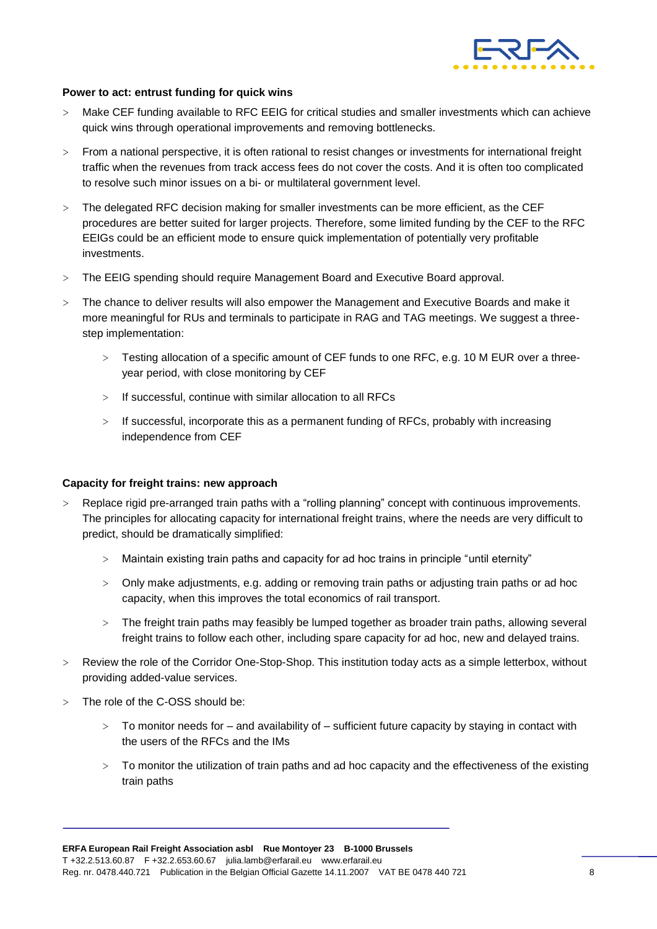

#### **Power to act: entrust funding for quick wins**

- > Make CEF funding available to RFC EEIG for critical studies and smaller investments which can achieve quick wins through operational improvements and removing bottlenecks.
- > From a national perspective, it is often rational to resist changes or investments for international freight traffic when the revenues from track access fees do not cover the costs. And it is often too complicated to resolve such minor issues on a bi- or multilateral government level.
- > The delegated RFC decision making for smaller investments can be more efficient, as the CEF procedures are better suited for larger projects. Therefore, some limited funding by the CEF to the RFC EEIGs could be an efficient mode to ensure quick implementation of potentially very profitable investments.
- > The EEIG spending should require Management Board and Executive Board approval.
- > The chance to deliver results will also empower the Management and Executive Boards and make it more meaningful for RUs and terminals to participate in RAG and TAG meetings. We suggest a threestep implementation:
	- > Testing allocation of a specific amount of CEF funds to one RFC, e.g. 10 M EUR over a threeyear period, with close monitoring by CEF
	- > If successful, continue with similar allocation to all RFCs
	- > If successful, incorporate this as a permanent funding of RFCs, probably with increasing independence from CEF

#### **Capacity for freight trains: new approach**

- > Replace rigid pre-arranged train paths with a "rolling planning" concept with continuous improvements. The principles for allocating capacity for international freight trains, where the needs are very difficult to predict, should be dramatically simplified:
	- > Maintain existing train paths and capacity for ad hoc trains in principle "until eternity"
	- > Only make adjustments, e.g. adding or removing train paths or adjusting train paths or ad hoc capacity, when this improves the total economics of rail transport.
	- > The freight train paths may feasibly be lumped together as broader train paths, allowing several freight trains to follow each other, including spare capacity for ad hoc, new and delayed trains.
- > Review the role of the Corridor One-Stop-Shop. This institution today acts as a simple letterbox, without providing added-value services.
- > The role of the C-OSS should be:
	- > To monitor needs for and availability of sufficient future capacity by staying in contact with the users of the RFCs and the IMs
	- > To monitor the utilization of train paths and ad hoc capacity and the effectiveness of the existing train paths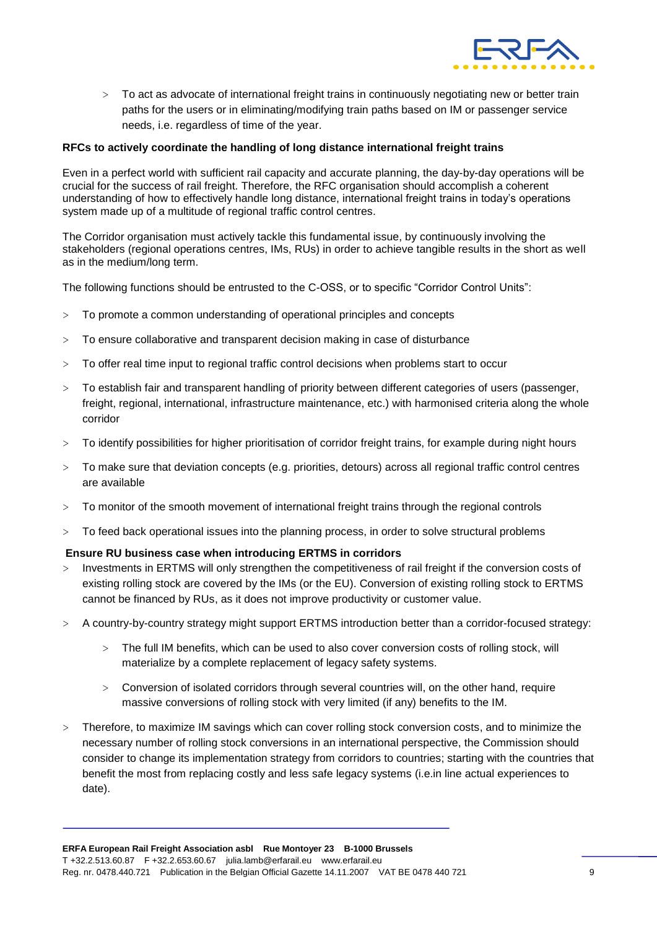

> To act as advocate of international freight trains in continuously negotiating new or better train paths for the users or in eliminating/modifying train paths based on IM or passenger service needs, i.e. regardless of time of the year.

#### **RFCs to actively coordinate the handling of long distance international freight trains**

Even in a perfect world with sufficient rail capacity and accurate planning, the day-by-day operations will be crucial for the success of rail freight. Therefore, the RFC organisation should accomplish a coherent understanding of how to effectively handle long distance, international freight trains in today's operations system made up of a multitude of regional traffic control centres.

The Corridor organisation must actively tackle this fundamental issue, by continuously involving the stakeholders (regional operations centres, IMs, RUs) in order to achieve tangible results in the short as well as in the medium/long term.

The following functions should be entrusted to the C-OSS, or to specific "Corridor Control Units":

- > To promote a common understanding of operational principles and concepts
- > To ensure collaborative and transparent decision making in case of disturbance
- > To offer real time input to regional traffic control decisions when problems start to occur
- > To establish fair and transparent handling of priority between different categories of users (passenger, freight, regional, international, infrastructure maintenance, etc.) with harmonised criteria along the whole corridor
- > To identify possibilities for higher prioritisation of corridor freight trains, for example during night hours
- > To make sure that deviation concepts (e.g. priorities, detours) across all regional traffic control centres are available
- > To monitor of the smooth movement of international freight trains through the regional controls
- > To feed back operational issues into the planning process, in order to solve structural problems

#### **Ensure RU business case when introducing ERTMS in corridors**

- Investments in ERTMS will only strengthen the competitiveness of rail freight if the conversion costs of existing rolling stock are covered by the IMs (or the EU). Conversion of existing rolling stock to ERTMS cannot be financed by RUs, as it does not improve productivity or customer value.
- > A country-by-country strategy might support ERTMS introduction better than a corridor-focused strategy:
	- > The full IM benefits, which can be used to also cover conversion costs of rolling stock, will materialize by a complete replacement of legacy safety systems.
	- > Conversion of isolated corridors through several countries will, on the other hand, require massive conversions of rolling stock with very limited (if any) benefits to the IM.
- > Therefore, to maximize IM savings which can cover rolling stock conversion costs, and to minimize the necessary number of rolling stock conversions in an international perspective, the Commission should consider to change its implementation strategy from corridors to countries; starting with the countries that benefit the most from replacing costly and less safe legacy systems (i.e.in line actual experiences to date).